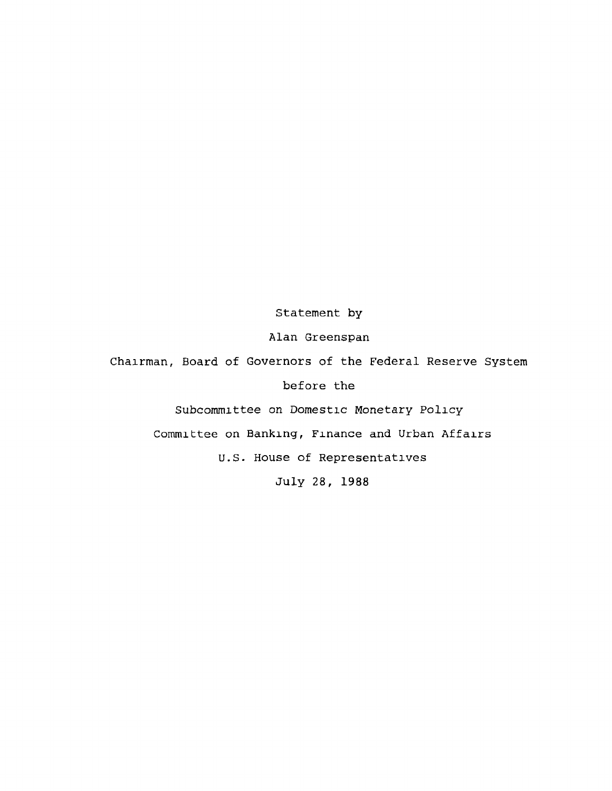Statement by

Alan Greenspan

Chairman, Board of Governors of the Federal Reserve System

before the

Subcommittee on Domestic Monetary Policy

Committee on Banking, Finance and Urban Affairs

U.S. House of Representatives

July 28, 1988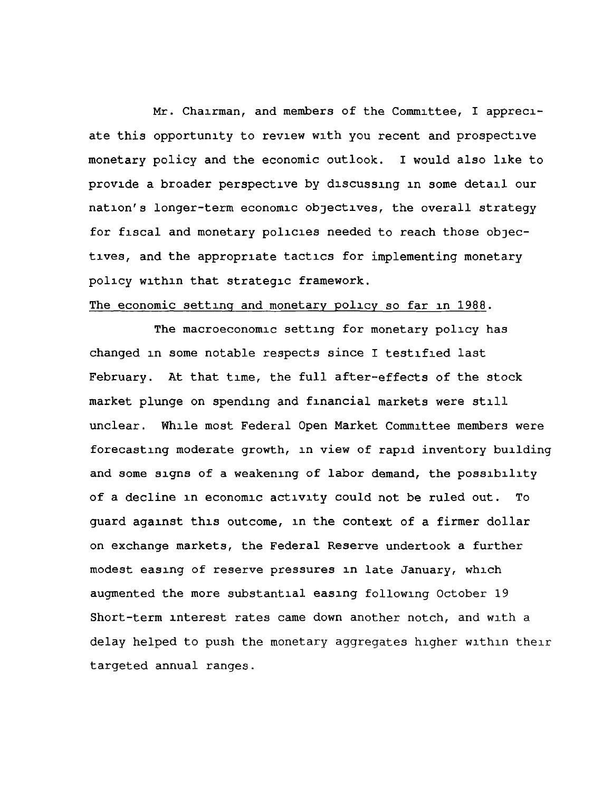Mr. Chairman, and members of the Committee, I appreciate this opportunity to review with you recent and prospective monetary policy and the economic outlook. I would also like to provide a broader perspective by discussing in some detail our nation's longer-term economic objectives, the overall strategy for fiscal and monetary policies needed to reach those objectives, and the appropriate tactics for implementing monetary policy within that strategic framework.

## The economic setting and monetary policy so far in 1988.

The macroeconomic setting for monetary policy has changed in some notable respects since I testified last February. At that time, the full after-effects of the stock market plunge on spending and financial markets were still unclear. While most Federal Open Market Committee members were forecasting moderate growth, in view of rapid inventory building and some signs of a weakening of labor demand, the possibility of a decline in economic activity could not be ruled out. To guard against this outcome, in the context of a firmer dollar on exchange markets, the Federal Reserve undertook a further modest easing of reserve pressures in late January, which augmented the more substantial easing following October 19 Short-term interest rates came down another notch, and with a delay helped to push the monetary aggregates higher within their targeted annual ranges.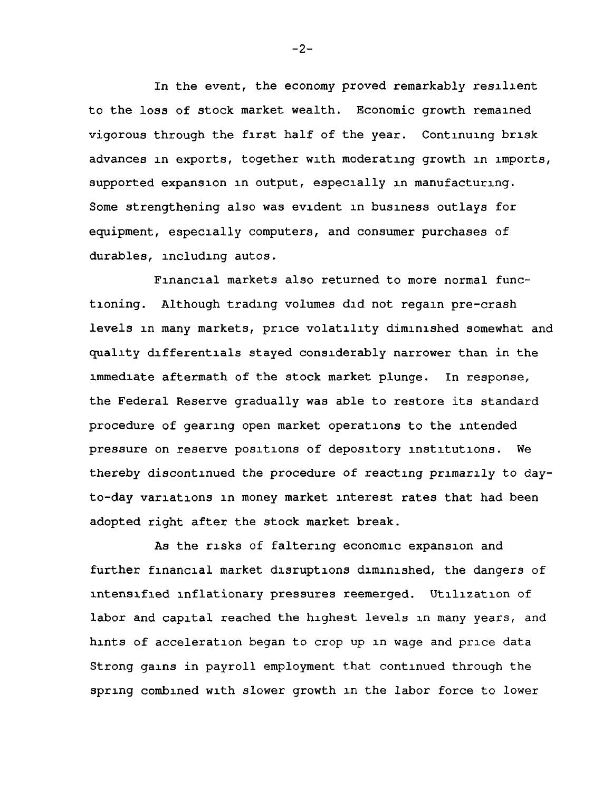In the event, the economy proved remarkably resilient to the loss of stock market wealth. Economic growth remained vigorous through the first half of the year. Continuing brisk advances in exports, together with moderating growth in imports, supported expansion in output, especially in manufacturing. Some strengthening also was evident in business outlays for equipment, especially computers, and consumer purchases of durables, including autos.

Financial markets also returned to more normal functioning. Although trading volumes did not regain pre-crash levels in many markets, price volatility diminished somewhat and quality differentials stayed considerably narrower than in the immediate aftermath of the stock market plunge. In response, the Federal Reserve gradually was able to restore its standard procedure of gearing open market operations to the intended pressure on reserve positions of depository institutions. We thereby discontinued the procedure of reacting primarily to dayto-day variations in money market interest rates that had been adopted right after the stock market break.

As the risks of faltering economic expansion and further financial market disruptions diminished, the dangers of intensified inflationary pressures reemerged. Utilization of labor and capital reached the highest levels in many years, and hints of acceleration began to crop up in wage and price data Strong gains in payroll employment that continued through the spring combined with slower growth in the labor force to lower

 $-2-$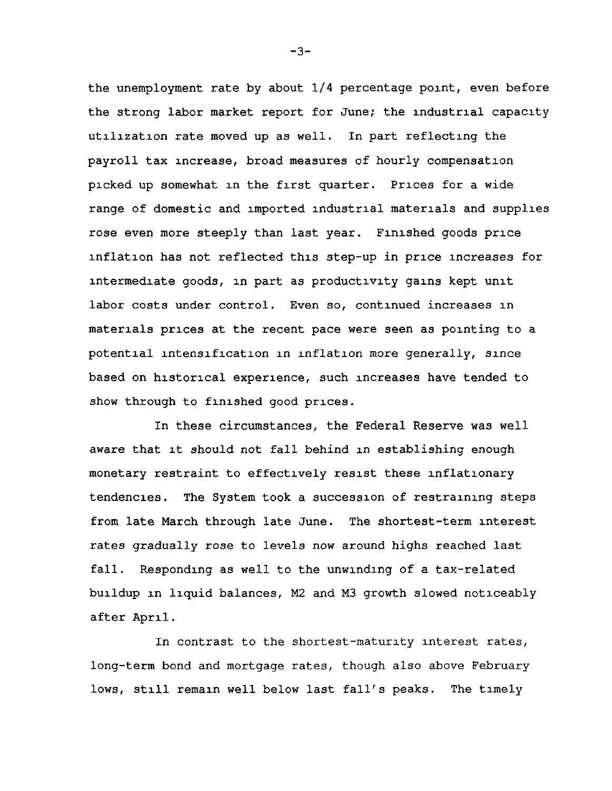the unemployment rate by about  $1/4$  percentage point, even before the strong labor market report for June; the industrial capacity utilization rate moved up as well. In part reflecting the payroll tax increase, broad measures of hourly compensation picked up somewhat in the first quarter. Prices for a wide range of domestic and imported industrial materials and supplies rose even more steeply than last year. Finished goods price inflation has not reflected this step-up in price increases for intermediate goods, in part as productivity gains kept unit labor costs under control. Even so, continued increases in materials prices at the recent pace were seen as pointing to a potential intensification in inflation more generally, since based on historical experience, such increases have tended to show through to finished good prices.

In these circumstances, the Federal Reserve was well aware that it should not fall behind in establishing enough monetary restraint to effectively resist these inflationary tendencies. The System took a succession of restraining steps from late March through late June. The shortest-term interest rates gradually rose to levels now around highs reached last fall. Responding as well to the unwinding of a tax-related buildup in liquid balances, M2 and M3 growth slowed noticeably after April.

In contrast to the shortest-maturity interest rates, long-term bond and mortgage rates, though also above February lows, still remain well below last fall's peaks. The timely

 $-3-$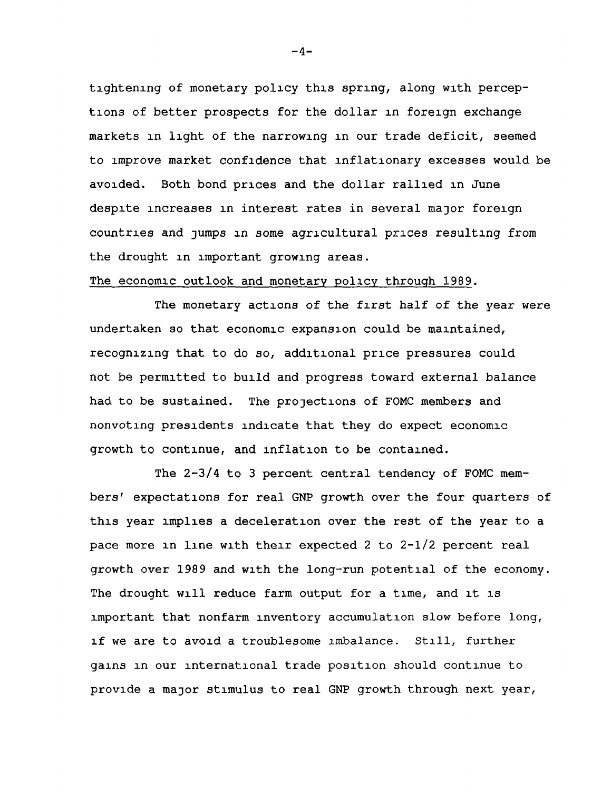tightening of monetary policy this spring, along with perceptions of better prospects for the dollar in foreign exchange markets in light of the narrowing in our trade deficit, seemed to improve market confidence that inflationary excesses would be avoided. Both bond prices and the dollar rallied in June despite increases in interest rates in several major foreign countries and jumps in some agricultural prices resulting from the drought in important growing areas.

## The economic outlook and monetary policy through 1989.

The monetary actions of the first half of the year were undertaken so that economic expansion could be maintained, recognizing that to do so, additional price pressures could not be permitted to build and progress toward external balance had to be sustained. The projections of FOMC members and nonvoting presidents indicate that they do expect economic growth to continue, and inflation to be contained.

The 2-3/4 to 3 percent central tendency of FOMC members' expectations for real GNP growth over the four quarters of this year implies a deceleration over the rest of the year to a pace more in line with their expected 2 to 2-1/2 percent real growth over 1989 and with the long-run potential of the economy. The drought will reduce farm output for a time, and it is important that nonfarm inventory accumulation slow before long, if we are to avoid a troublesome imbalance. Still, further gains in our international trade position should continue to provide a major stimulus to real GNP growth through next year,

 $-4-$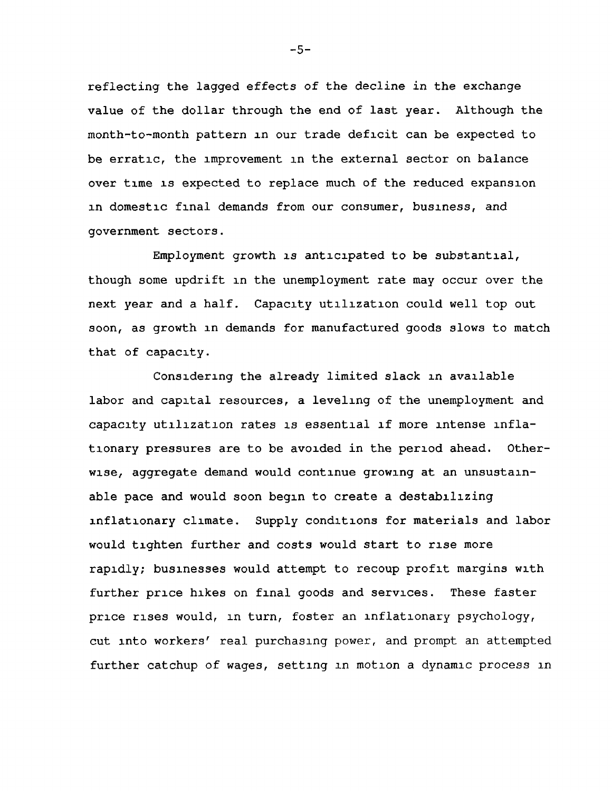reflecting the lagged effects of the decline in the exchange value of the dollar through the end of last year. Although the month-to-month pattern in our trade deficit can be expected to be erratic, the improvement in the external sector on balance over time is expected to replace much of the reduced expansion in domestic final demands from our consumer, business, and government sectors.

Employment growth is anticipated to be substantial, though some updrift in the unemployment rate may occur over the next year and a half. Capacity utilization could well top out soon, as growth in demands for manufactured goods slows to match that of capacity.

Considering the already limited slack in available labor and capital resources, a leveling of the unemployment and capacity utilization rates is essential if more intense inflationary pressures are to be avoided in the period ahead. Otherwise, aggregate demand would continue growing at an unsustainable pace and would soon begin to create a destabilizing inflationary climate. Supply conditions for materials and labor would tighten further and costs would start to rise more rapidly; businesses would attempt to recoup profit margins with further price hikes on final goods and services. These faster price rises would, in turn, foster an inflationary psychology, cut into workers' real purchasing power, and prompt an attempted further catchup of wages, setting in motion a dynamic process in

-5-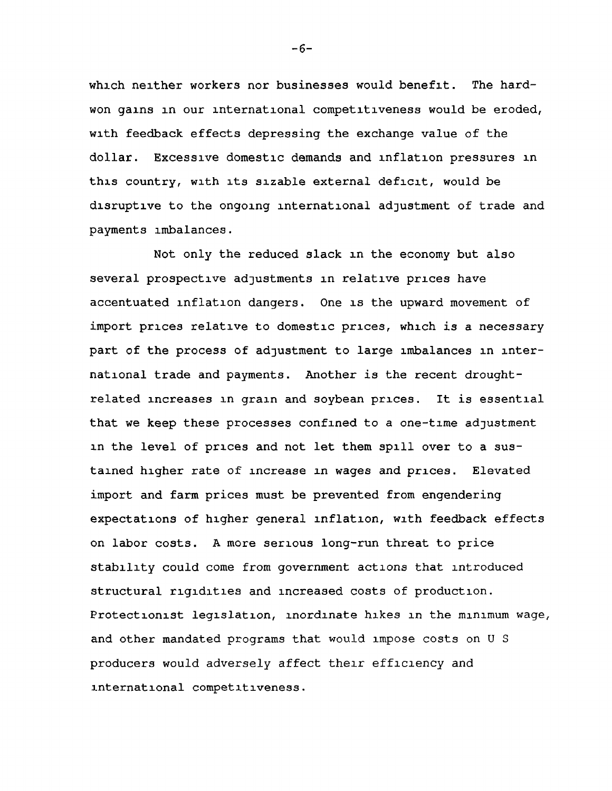which neither workers nor businesses would benefit. The hardwon gains in our international competitiveness would be eroded, with feedback effects depressing the exchange value of the dollar. Excessive domestic demands and inflation pressures in this country, with its sizable external deficit, would be disruptive to the ongoing international adjustment of trade and payments imbalances.

Not only the reduced slack in the economy but also several prospective adjustments in relative prices have accentuated inflation dangers. One is the upward movement of import prices relative to domestic prices, which is a necessary part of the process of adjustment to large imbalances in international trade and payments. Another is the recent droughtrelated increases in grain and soybean prices. It is essential that we keep these processes confined to a one-time adjustment in the level of prices and not let them spill over to a sustained higher rate of increase in wages and prices. Elevated import and farm prices must be prevented from engendering expectations of higher general inflation, with feedback effects on labor costs. A more serious long-run threat to price stability could come from government actions that introduced structural rigidities and increased costs of production. Protectionist legislation, inordinate hikes in the minimum wage, and other mandated programs that would impose costs on U S producers would adversely affect their efficiency and international competitiveness.

-6-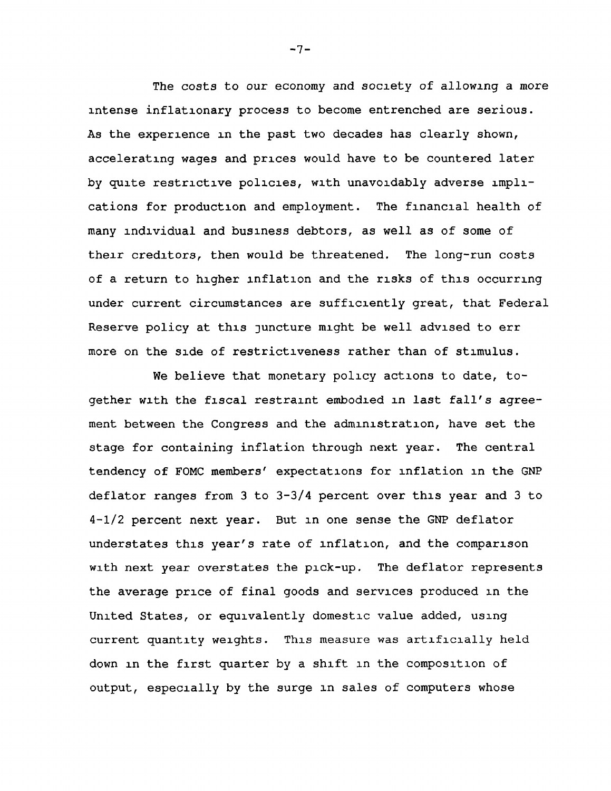The costs to our economy and society of allowing a more intense inflationary process to become entrenched are serious. As the experience in the past two decades has clearly shown, accelerating wages and prices would have to be countered later by quite restrictive policies, with unavoidably adverse implications for production and employment. The financial health of many individual and business debtors, as well as of some of their creditors, then would be threatened. The long-run costs of a return to higher inflation and the risks of this occurring under current circumstances are sufficiently great, that Federal Reserve policy at this juncture might be well advised to err more on the side of restrictiveness rather than of stimulus.

We believe that monetary policy actions to date, together with the fiscal restraint embodied in last fall's agreement between the Congress and the administration, have set the stage for containing inflation through next year. The central tendency of FOMC members' expectations for inflation in the GNP deflator ranges from 3 to 3-3/4 percent over this year and 3 to 4-1/2 percent next year. But in one sense the GNP deflator understates this year's rate of inflation, and the comparison with next year overstates the pick-up. The deflator represents the average price of final goods and services produced in the United States, or equivalently domestic value added, using current quantity weights. This measure was artificially held down in the first quarter by a shift in the composition of output, especially by the surge in sales of computers whose

 $-7-$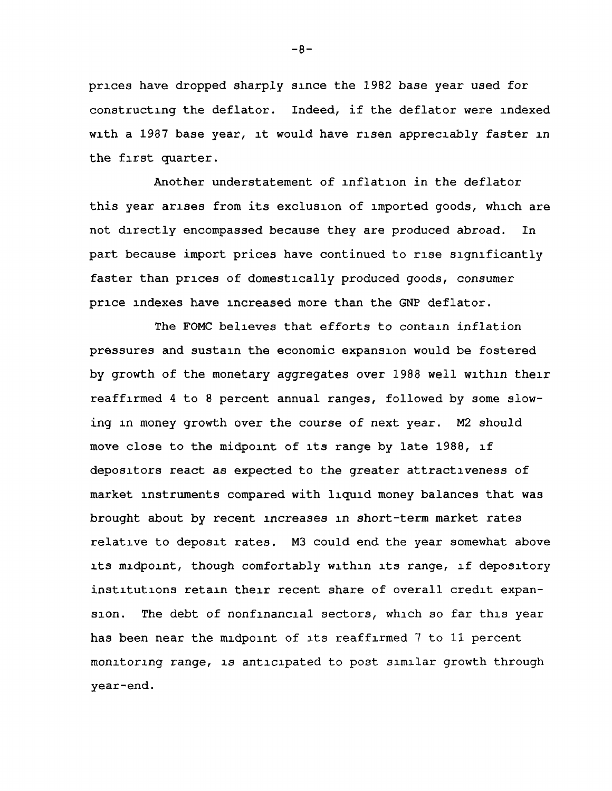prices have dropped sharply since the 1982 base year used for constructing the deflator. Indeed, if the deflator were indexed with a 1987 base year, it would have risen appreciably faster in the first quarter.

Another understatement of inflation in the deflator this year arises from its exclusion of imported goods, which are not directly encompassed because they are produced abroad. In part because import prices have continued to rise significantly faster than prices of domestically produced goods, consumer price indexes have increased more than the GNP deflator.

The FOMC believes that efforts to contain inflation pressures and sustain the economic expansion would be fostered by growth of the monetary aggregates over 1988 well within their reaffirmed 4 to 8 percent annual ranges, followed by some slowing in money growth over the course of next year. M2 should move close to the midpoint of its range by late 1988, if depositors react as expected to the greater attractiveness of market instruments compared with liquid money balances that was brought about by recent increases in short-term market rates relative to deposit rates. M3 could end the year somewhat above its midpoint, though comfortably within its range, if depository institutions retain their recent share of overall credit expansion. The debt of nonfinancial sectors, which so far this year has been near the midpoint of its reaffirmed 7 to 11 percent monitoring range, is anticipated to post similar growth through year-end.

 $-8-$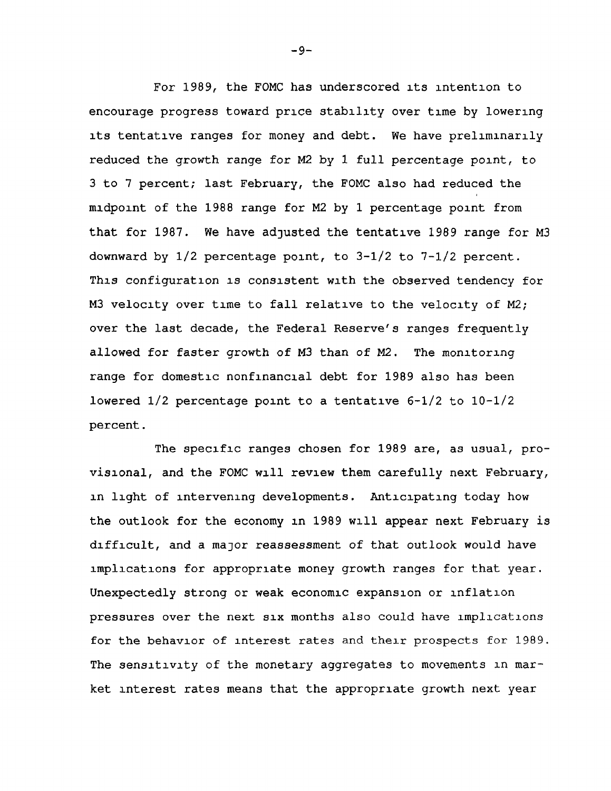For 1989, the FOMC has underscored its intention to encourage progress toward price stability over time by lowering its tentative ranges for money and debt. We have preliminarily reduced the growth range for M2 by 1 full percentage point, to 3 to 7 percent; last February, the FOMC also had reduced the midpoint of the 1988 range for M2 by 1 percentage point from that for 1987. We have adjusted the tentative 1989 range for M3 downward by  $1/2$  percentage point, to  $3-1/2$  to  $7-1/2$  percent. This configuration is consistent with the observed tendency for M3 velocity over time to fall relative to the velocity of M2; over the last decade, the Federal Reserve's ranges frequently allowed for faster growth of M3 than of M2. The monitoring range for domestic nonfinancial debt for 1989 also has been lowered 1/2 percentage point to a tentative 6-1/2 to 10-1/2 percent.

The specific ranges chosen for 1989 are, as usual, provisional, and the FOMC will review them carefully next February, in light of intervening developments. Anticipating today how the outlook for the economy in 1989 will appear next February is difficult, and a major reassessment of that outlook would have implications for appropriate money growth ranges for that year. Unexpectedly strong or weak economic expansion or inflation pressures over the next six months also could have implications for the behavior of interest rates and their prospects for 1989. The sensitivity of the monetary aggregates to movements in market interest rates means that the appropriate growth next year

-9-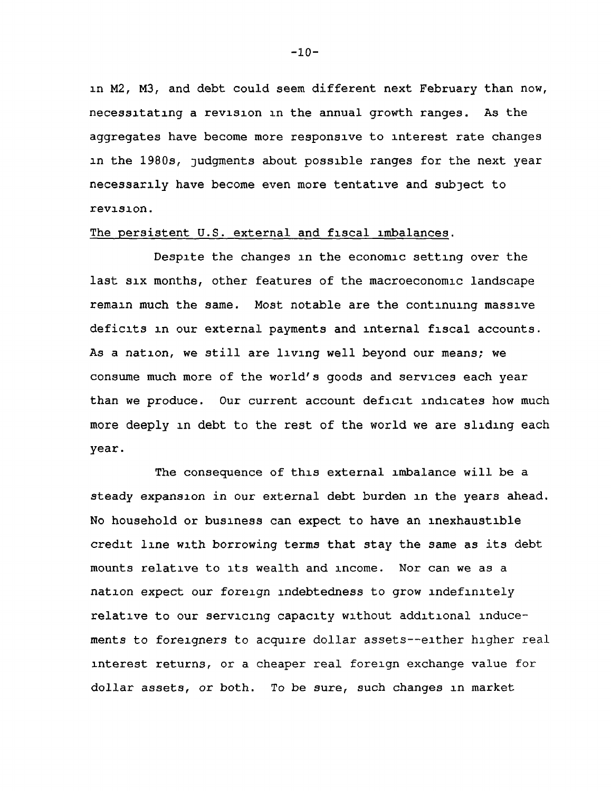in M2, M3, and debt could seem different next February than now, necessitating a revision in the annual growth ranges. As the aggregates have become more responsive to interest rate changes in the 1980s, judgments about possible ranges for the next year necessarily have become even more tentative and subject to revision.

## The persistent U.S. external and fiscal imbalances.

Despite the changes in the economic setting over the last six months, other features of the macroeconomic landscape remain much the same. Most notable are the continuing massive deficits in our external payments and internal fiscal accounts. As a nation, we still are living well beyond our means; we consume much more of the world's goods and services each year than we produce. Our current account deficit indicates how much more deeply in debt to the rest of the world we are sliding each year.

The consequence of this external imbalance will be a steady expansion in our external debt burden in the years ahead. No household or business can expect to have an inexhaustible credit line with borrowing terms that stay the same as its debt mounts relative to its wealth and income. Nor can we as a nation expect our foreign indebtedness to grow indefinitely relative to our servicing capacity without additional inducements to foreigners to acquire dollar assets—either higher real interest returns, or a cheaper real foreign exchange value for dollar assets, or both. To be sure, such changes in market

 $-10-$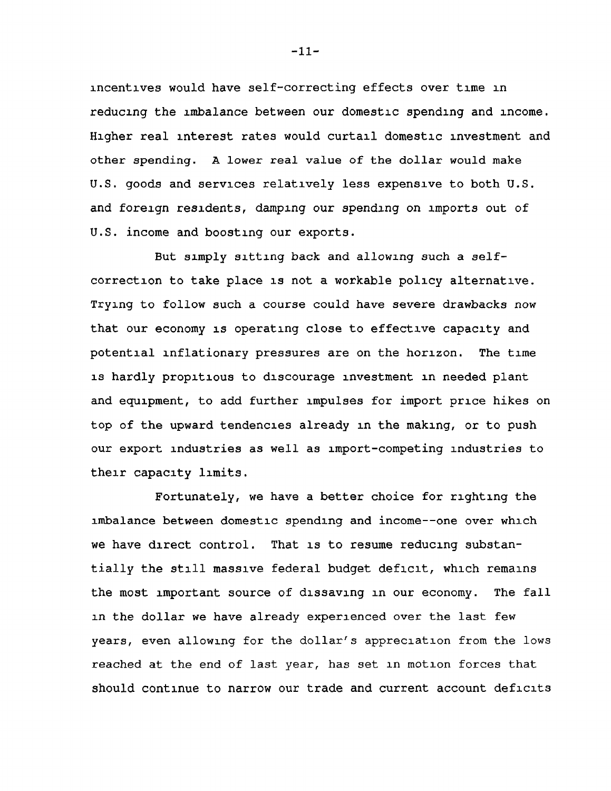incentives would have self-correcting effects over time in reducing the imbalance between our domestic spending and income. Higher real interest rates would curtail domestic investment and other spending. A lower real value of the dollar would make U.S. goods and services relatively less expensive to both U.S. and foreign residents, damping our spending on imports out of U.S. income and boosting our exports.

But simply sitting back and allowing such a selfcorrection to take place is not a workable policy alternative. Trying to follow such a course could have severe drawbacks now that our economy is operating close to effective capacity and potential inflationary pressures are on the horizon. The time is hardly propitious to discourage investment in needed plant and equipment, to add further impulses for import price hikes on top of the upward tendencies already in the making, or to push our export industries as well as import-competing industries to their capacity limits.

Fortunately, we have a better choice for righting the imbalance between domestic spending and income--one over which we have direct control. That is to resume reducing substantially the still massive federal budget deficit, which remains the most important source of dissaving in our economy. The fall in the dollar we have already experienced over the last few years, even allowing for the dollar's appreciation from the lows reached at the end of last year, has set in motion forces that should continue to narrow our trade and current account deficits

-11-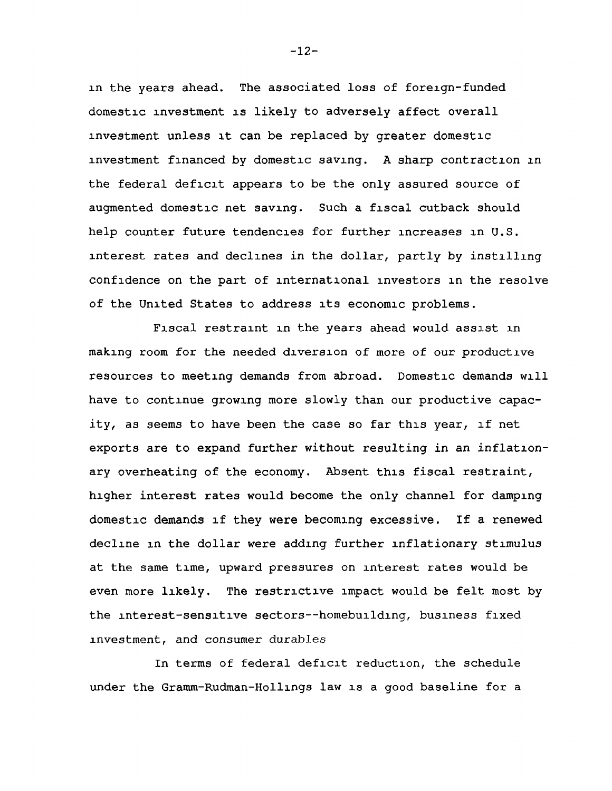in the years ahead. The associated loss of foreign-funded domestic investment is likely to adversely affect overall investment unless it can be replaced by greater domestic investment financed by domestic saving. A sharp contraction in the federal deficit appears to be the only assured source of augmented domestic net saving. Such a fiscal cutback should help counter future tendencies for further increases in U.S. interest rates and declines in the dollar, partly by instilling confidence on the part of international investors in the resolve of the United States to address its economic problems.

Fiscal restraint in the years ahead would assist in making room for the needed diversion of more of our productive resources to meeting demands from abroad. Domestic demands will have to continue growing more slowly than our productive capacity, as seems to have been the case so far this year, if net exports are to expand further without resulting in an inflationary overheating of the economy. Absent this fiscal restraint, higher interest rates would become the only channel for damping domestic demands if they were becoming excessive. If a renewed decline in the dollar were adding further inflationary stimulus at the same time, upward pressures on interest rates would be even more likely. The restrictive impact would be felt most by the interest-sensitive sectors--homebuilding, business fixed investment, and consumer durables

In terms of federal deficit reduction, the schedule under the Gramm-Rudman-Hollings law is a good baseline for a

 $-12-$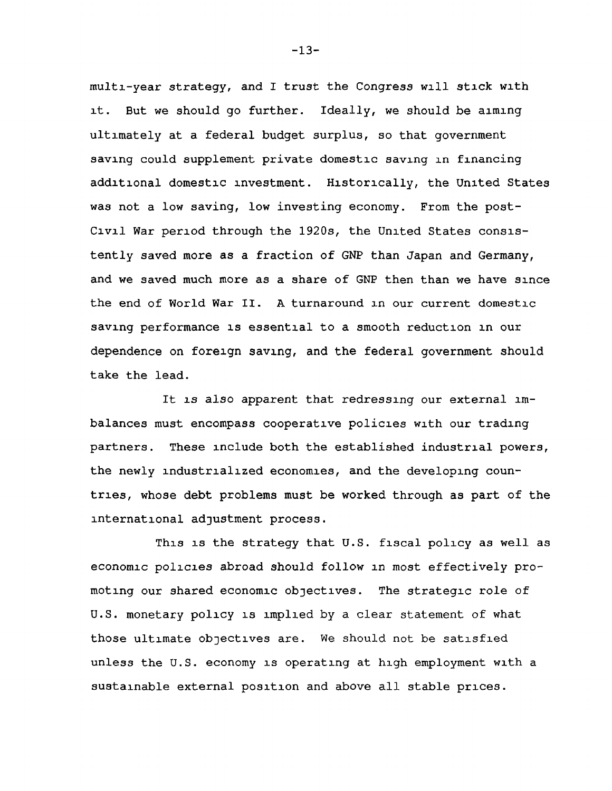multi-year strategy, and I trust the Congress will stick with it. But we should go further. Ideally, we should be aiming ultimately at a federal budget surplus, so that government saving could supplement private domestic saving in financing additional domestic investment. Historically, the United States was not a low saving, low investing economy. From the post-Civil War period through the 1920s, the United States consistently saved more as a fraction of GNP than Japan and Germany, and we saved much more as a share of GNP then than we have since the end of World War II. A turnaround in our current domestic saving performance is essential to a smooth reduction in our dependence on foreign saving, and the federal government should take the lead.

It is also apparent that redressing our external imbalances must encompass cooperative policies with our trading partners. These include both the established industrial powers, the newly industrialized economies, and the developing countries, whose debt problems must be worked through as part of the international adjustment process.

This is the strategy that U.S. fiscal policy as well as economic policies abroad should follow in most effectively promoting our shared economic objectives. The strategic role of U.S. monetary policy is implied by a clear statement of what those ultimate objectives are. We should not be satisfied unless the U.S. economy is operating at high employment with a sustainable external position and above all stable prices.

 $-13-$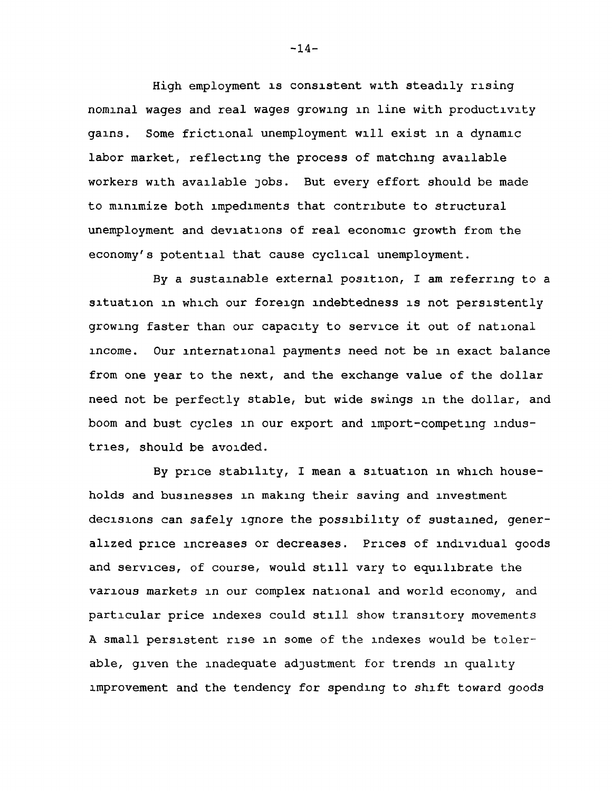High employment is consistent with steadily rising nominal wages and real wages growing in line with productivity gains. Some frictional unemployment will exist in a dynamic labor market, reflecting the process of matching available workers with available jobs. But every effort should be made to minimize both impediments that contribute to structural unemployment and deviations of real economic growth from the economy's potential that cause cyclical unemployment.

By a sustainable external position, I am referring to a situation in which our foreign indebtedness is not persistently growing faster than our capacity to service it out of national income. Our international payments need not be in exact balance from one year to the next, and the exchange value of the dollar need not be perfectly stable, but wide swings in the dollar, and boom and bust cycles in our export and import-competing industries, should be avoided.

By price stability, I mean a situation in which households and businesses in making their saving and investment decisions can safely ignore the possibility of sustained, generalized price increases or decreases. Prices of individual goods and services, of course, would still vary to equilibrate the various markets in our complex national and world economy, and particular price indexes could still show transitory movements A small persistent rise in some of the indexes would be tolerable, given the inadequate adjustment for trends in quality improvement and the tendency for spending to shift toward goods

 $-14-$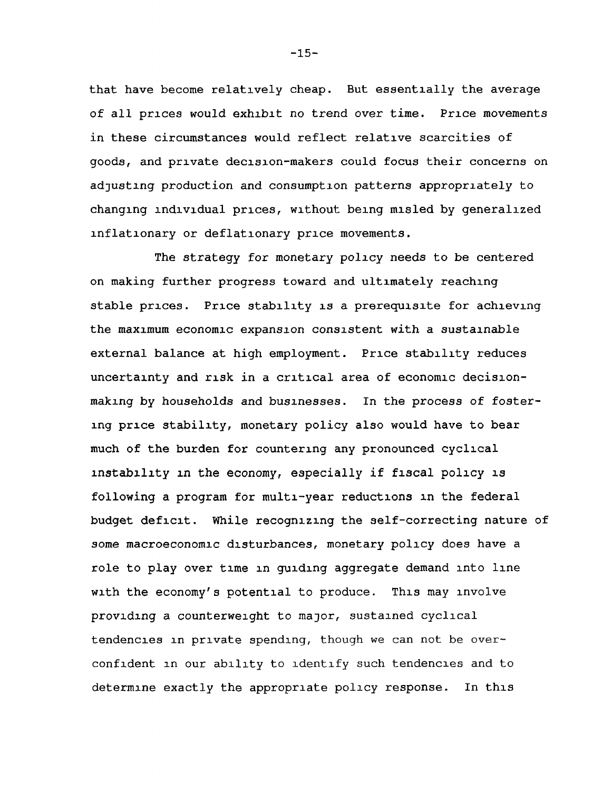that have become relatively cheap. But essentially the average of all prices would exhibit no trend over time. Price movements in these circumstances would reflect relative scarcities of goods, and private decision-makers could focus their concerns on adjusting production and consumption patterns appropriately to changing individual prices, without being misled by generalized inflationary or deflationary price movements.

The strategy for monetary policy needs to be centered on making further progress toward and ultimately reaching stable prices. Price stability is a prerequisite for achieving the maximum economic expansion consistent with a sustainable external balance at high employment. Price stability reduces uncertainty and risk in a critical area of economic decisionmaking by households and businesses. In the process of fostering price stability, monetary policy also would have to bear much of the burden for countering any pronounced cyclical instability in the economy, especially if fiscal policy is following a program for multi-year reductions in the federal budget deficit. While recognizing the self-correcting nature of some macroeconomic disturbances, monetary policy does have a role to play over time in guiding aggregate demand into line with the economy's potential to produce. This may involve providing a counterweight to major, sustained cyclical tendencies in private spending, though we can not be overconfident in our ability to identify such tendencies and to determine exactly the appropriate policy response. In this

-15-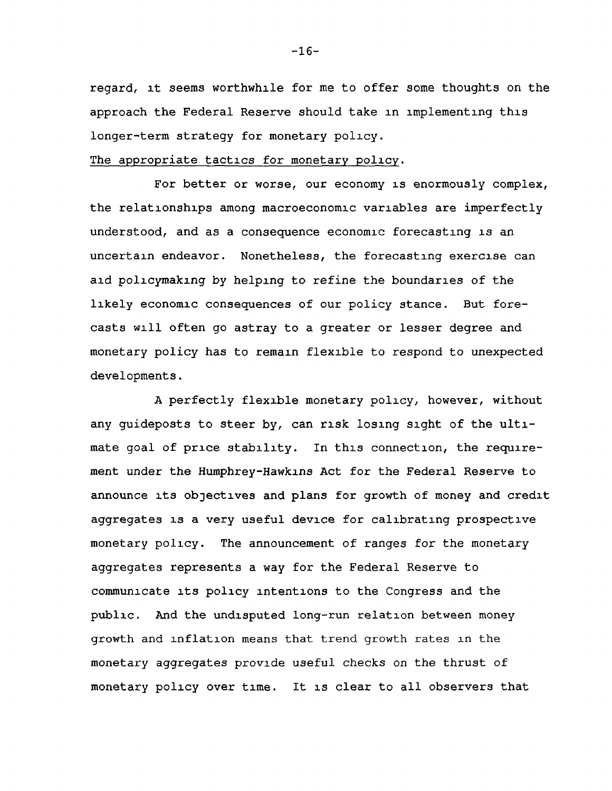regard, at seems worthwhile for me to offer some thoughts on the approach the Federal Reserve should take in implementing this longer-term strategy for monetary policy.

## The appropriate tactics for monetary policy.

For better or worse, our economy is enormously complex, the relationships among macroeconomic variables are imperfectly understood, and as a consequence economic forecasting is an uncertain endeavor. Nonetheless, the forecasting exercise can aid policymaking by helping to refine the boundaries of the likely economic consequences of our policy stance. But forecasts will often go astray to a greater or lesser degree and monetary policy has to remain flexible to respond to unexpected developments.

A perfectly flexible monetary policy, however, without any guideposts to steer by, can risk losing sight of the ultimate goal of price stability. In this connection, the requirement under the Humphrey-Hawkins Act for the Federal Reserve to announce its objectives and plans for growth of money and credit aggregates is a very useful device for calibrating prospective monetary policy. The announcement of ranges for the monetary aggregates represents a way for the Federal Reserve to communicate its policy intentions to the Congress and the public. And the undisputed long-run relation between money growth and inflation means that trend growth rates in the monetary aggregates provide useful checks on the thrust of monetary policy over time. It is clear to all observers that

-16-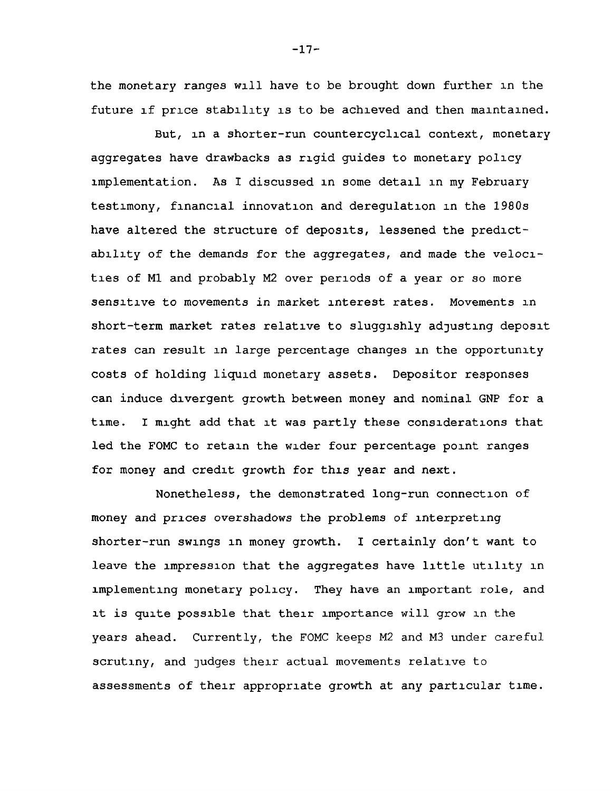the monetary ranges will have to be brought down further in the future if price stability is to be achieved and then maintained.

But, in a shorter-run countercyclical context, monetary aggregates have drawbacks as rigid guides to monetary policy implementation. As I discussed in some detail in my February testimony, financial innovation and deregulation in the 1980s have altered the structure of deposits, lessened the predictability of the demands for the aggregates, and made the velocities of Ml and probably M2 over periods of a year or so more sensitive to movements in market interest rates. Movements in short-term market rates relative to sluggishly adjusting deposit rates can result in large percentage changes in the opportunity costs of holding liquid monetary assets. Depositor responses can induce divergent growth between money and nominal GNP for a time. I might add that it was partly these considerations that led the FOMC to retain the wider four percentage point ranges for money and credit growth for this year and next.

Nonetheless, the demonstrated long-run connection of money and prices overshadows the problems of interpreting shorter-run swings in money growth. I certainly don't want to leave the impression that the aggregates have little utility in implementing monetary policy. They have an important role, and it is quite possible that their importance will grow in the years ahead. Currently, the FOMC keeps M2 and M3 under careful scrutiny, and judges their actual movements relative to assessments of their appropriate growth at any particular time.

 $-17-$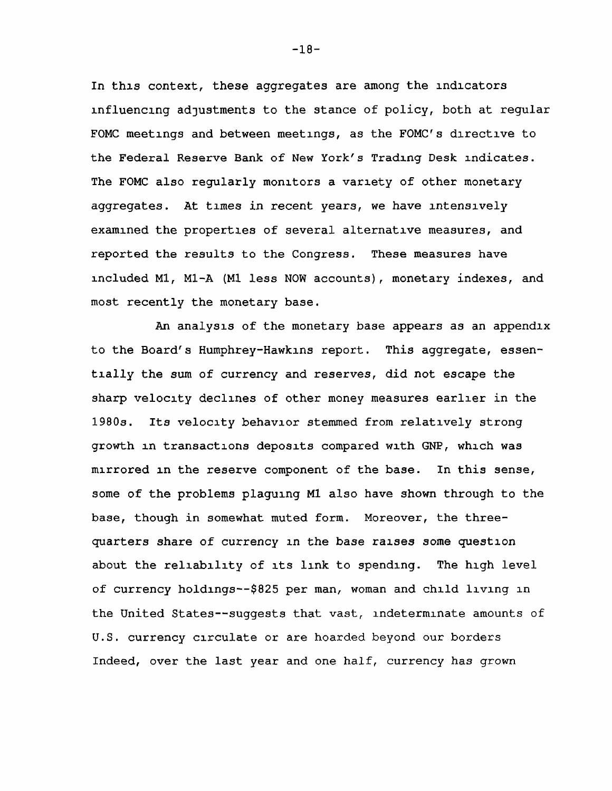In this context, these aggregates are among the indicators influencing adjustments to the stance of policy, both at regular FOMC meetings and between meetings, as the FOMC's directive to the Federal Reserve Bank of New York's Trading Desk indicates. The FOMC also regularly monitors a variety of other monetary aggregates. At times in recent years, we have intensively examined the properties of several alternative measures, and reported the results to the Congress. These measures have included Ml, Ml-A (Ml less NOW accounts), monetary indexes, and most recently the monetary base.

An analysis of the monetary base appears as an appendix to the Board's Humphrey-Hawkins report. This aggregate, essentially the sum of currency and reserves, did not escape the sharp velocity declines of other money measures earlier in the 1980s. Its velocity behavior stemmed from relatively strong growth in transactions deposits compared with GNP, which was mirrored in the reserve component of the base. In this sense, some of the problems plaguing Ml also have shown through to the base, though in somewhat muted form. Moreover, the threequarters share of currency in the base raises some question about the reliability of its link to spending. The high level of currency holdings—\$825 per man, woman and child living in the United States--suggests that vast, indeterminate amounts of U.S. currency circulate or are hoarded beyond our borders Indeed, over the last year and one half, currency has grown

 $-18-$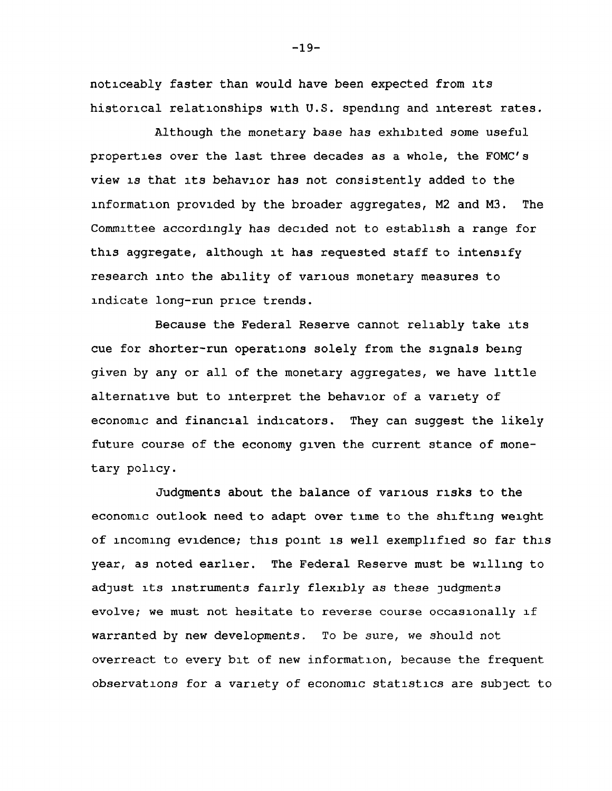noticeably faster than would have been expected from its historical relationships with U.S. spending and interest rates.

Although the monetary base has exhibited some useful properties over the last three decades as a whole, the FOMC's view is that its behavior has not consistently added to the information provided by the broader aggregates, M2 and M3. The Committee accordingly has decided not to establish a range for this aggregate, although it has requested staff to intensify research into the ability of various monetary measures to indicate long-run price trends.

Because the Federal Reserve cannot reliably take its cue for shorter-run operations solely from the signals being given by any or all of the monetary aggregates, we have little alternative but to interpret the behavior of a variety of economic and financial indicators. They can suggest the likely future course of the economy given the current stance of monetary policy.

Judgments about the balance of various risks to the economic outlook need to adapt over time to the shifting weight of incoming evidence; this point is well exemplified so far this year, as noted earlier. The Federal Reserve must be willing to adjust its instruments fairly flexibly as these judgments evolve; we must not hesitate to reverse course occasionally if warranted by new developments. To be sure, we should not overreact to every bit of new information, because the frequent observations for a variety of economic statistics are subject to

 $-19-$